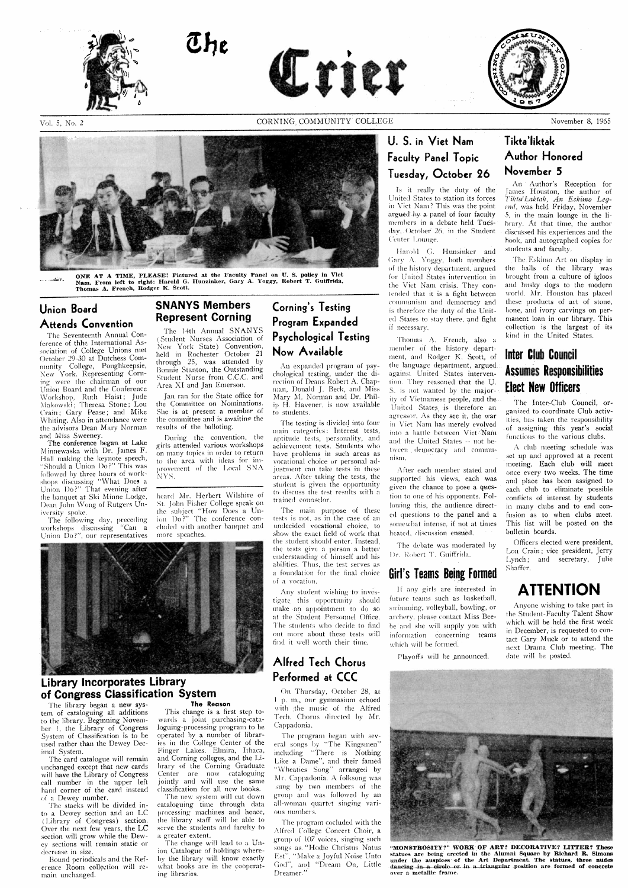

Vol. 5, No. 2



ONE AT A TIME, PLEASE! Pictured at the Faculty Panel on U. S. policy in Viet Nam. From left to right: Harold G. Hunzinker, Gary A. Yoggy, Robert T. Guiffrida. Thomas A. French, Rodger K. Scott.

## **Union Board Attends Convention**

The Seventeenth Annual Conference of thhe International Association of College Unions met October 29-30 at Dutchess Community College, Poughkeepsie, New York. Representing Corning were the chairman of our Union Board and the Conference Workshop, Ruth Haist; Jude<br>Makowski; Theresa Stone; Lou Crain; Gary Pease; and Mike Whiting. Also in attendance were the advisors Dean Mary Norman and Miss Sweeney.

The conference began at Lake Minnewaska with Dr. James F. Hall making the keynote speech, "Should a Union Do?" This was followed by three hours of workshops discussing "What Does a Union Do?" That evening after the banquet at Ski Minne Lodge, Dean John Wong of Rutgers University spoke.

The following day, preceding workshops discussing "Can a Union Do?", our representatives

## **SNANYS Members Represent Corning**

The 14th Annual SNANYS (Student Nurses Association of New York State) Convention, held in Rochester October 21 through 25, was attended by Bonnie Stanton, the Outstanding Student Nurse from C.C.C. and Area XI and Jan Emerson.

Jan ran for the State office for the Committee on Nominations. She is at present a member of the committee and is awaiting the results of the balloting.

During the convention, the girls attended various workshops on many topics in order to return to the area with ideas for improvement of the Local SNA NYS.

heard Mr. Herbert Wilshire of St. John Fisher College speak on the subject "How Does a Union Do?" The conference concluded with another banquet and more speaches.

## **Corning's Testing** Program Expanded **Psychological Testing** Now Available

An expanded program of psychological testing, under the direction of Deans Robert A. Chapman, Donald J. Beck, and Miss Mary M. Norman and Dr. Philip H. Havener, is now available to students.

The testing is divided into four main categories: Interest tests, aptitude tests, personality, and achievement tests. Students who have problems in such areas as vocational choice or personal adjustment can take tests in these areas. After taking the tests, the student is given the opportunity to discuss the test results with a trained counselor.

The main purpose of these tests is not, as in the case of an undecided vocational choice, to show the exact field of work that the student should enter. Instead, the tests give a person a better understanding of himself and his abilities. Thus, the test serves as a foundation for the final choice of a vocation.

Any student wishing to investigate this opportunity should make an appointment to do so at the Student Personnel Office. The students who decide to find out more about these tests will find it well worth their time.

## Alfred Tech Chorus

## U. S. in Viet Nam Faculty Panel Topic Tuesday, October 26

Is it really the duty of the United States to station its forces in Viet Nam? This was the point argued by a panel of four faculty members in a debate held Tuesday, October 26, in the Student Center Lounge.

Harold G. Hunsinker and Gary A. Yoggy, both members of the history department, argued for United States intervention in the Viet Nam crisis. They contended that it is a fight between communism and democracy and is therefore the duty of the United States to stay there, and fight if necessary.

Thomas A. French, also a member of the history department, and Rodger K. Scott, of the language department, argued against United States intervention. They reasoned that the U. S. is not wanted by the majority of Vietnamese people, and the United States is therefore an agressor. As they see it, the war in Viet Nam has merely evolved into a battle between Viet Nam and the United States -- not between democracy and communism.

After each member stated and supported his views, each was given the chance to pose a question to one of his opponents. Following this, the audience directed questions to the panel and a somewhat intense, if not at times heated, discussion ensued.

The debate was moderated by Dr. Robert T. Guiffrida.

## **Girl's Teams Being Formed**

If any girls are interested in future teams such as basketball, swimming, volleyball, bowling, or archery, please contact Miss Beebe and she will supply you with information concerning teams which will be formed.

Playoffs will be announced.

## Tikta'liktak **Author Honored** November 5

An Author's Reception for James Houston, the author of Tikta' Laktak, An Eskimo Leqend, was held Friday, November 5, in the main lounge in the library. At that time, the author discussed his experiences and the hook, and autographed copies for students and faculty.

The Eskimo Art on display in the halls of the library was brought from a culture of igloos and husky dogs to the modern world. Mr. Houston has placed these products of art of stone, bone, and ivory carvings on permanent loan in our library. This collection is the largest of its kind in the United States.

## Inter Club Council **Assumes Responsibilities Elect New Officers**

The Inter-Club Council, organized to coordinate Club activities, has taken the responsibility of assigning this year's social functions to the various clubs.

A club meeting schedule was set up and approved at a recent meeting. Each club will meet once every two weeks. The time and place has been assigned to each club to eliminate possible conflicts of interest by students in many clubs and to end confusion as to when clubs meet. This list will be posted on the bulletin boards.

Officers elected were president, Lou Crain; vice president, Jerry Lynch; and secretary, Julie Shaffer.

# **ATTENTION**

Anyone wishing to take part in the Student-Faculty Talent Show which will be held the first week in December, is requested to contact Gary Muck or to attend the next Drama Club meeting. The date will be posted.



## **Library Incorporates Library** of Congress Classification System

The library began a new system of cataloguing all additions to the library. Beginning November 1, the Library of Congress System of Classification is to be used rather than the Dewey Decimal System.

The card catalogue will remain unchanged except that new cards will have the Library of Congress call number in the upper left hand corner of the card instead of a Dewey number.

The stacks will be divided into a Dewey section and an LC (Library of Congress) section. Over the next few years, the  $LC$ section will grow while the Dewey sections will remain static or decrease in size.

Bound periodicals and the Reference Room collection will remain unchanged.

#### The Reason

This change is a first step towards a joint purchasing-cataloguing-processing program to be operated by a number of libraries in the College Center of the Finger Lakes. Elmira, Ithaca, and Corning colleges, and the Library of the Corning Graduate Center are now cataloguing jointly and will use the same classification for all new books.

The new system will cut down cataloguing time through data processing machines and hence, the library staff will be able to serve the students and faculty to a greater extent.

The change will lead to a Union Catalogue of holdings whereby the library will know exactly what books are in the cooperating libraries.

## Performed at CCC

On Thursday, October 28, at 1 p. m., our gymnasium echoed with the music of the Alfred Tech. Chorus directed by Mr. Cappadonia.

The program began with several songs by "The Kingsmen" including "There is Nothing Like a Dame", and their famed "Wheaties Song" arranged by<br>Mr. Cappadonia. A folksong was sung by two members of the group and was followed by an all-woman quartet singing various numbers.

The program cocluded with the Alfred College Concert Choir, a group of 107 voices, singing such songs as "Hodie Christus Natus Est", "Make a Joyful Noise Unto God", and "Dream On, Little Dreamer.'



"MONSTROSITY?" WORK OF ART? DECORATIVE? LITTER? These statues are being erected in the Alumni Square by Richard R. Simons under the auspices of the Art Department. The statues, three nudes dancing in a circle or in a triangular position are formed of concrete over a metallic frame.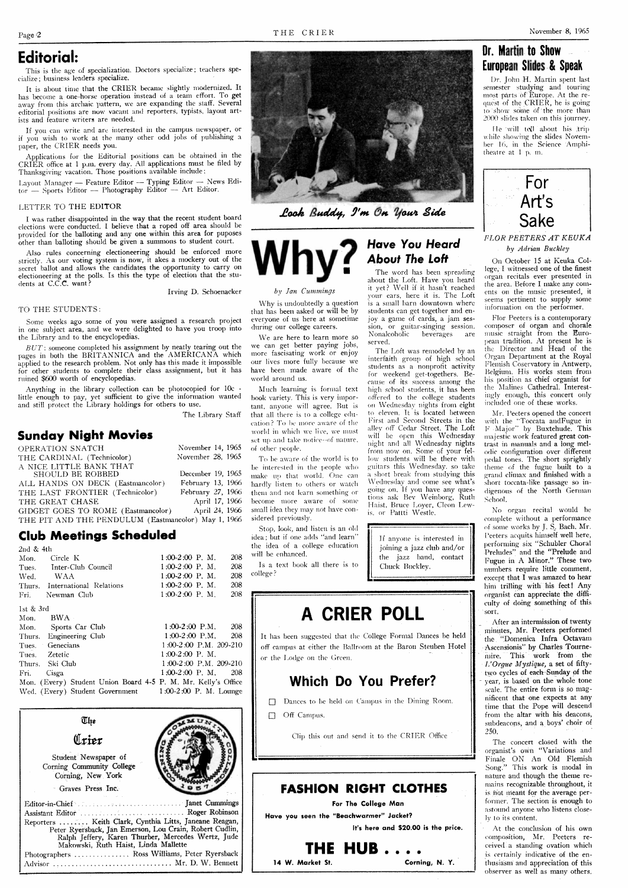$by$  *Jan Cummings* LVhy is undoubtedly a question that has been asked or will be by everyone of us here at sometime during our college careers.

## **Editorial:**

This is the age of specialization. Doctors specialize; teachers specialize; business leaders specialize.

It is about time that the CRIER became slightly modernized. It has become a one-horse operation instead of a team effort. To get away from this archaic pattern, we are expanding the staff. Several editorial positions are now vacant and reporters, typists, layout artists and feature writers are needed.

If you can write and are interested in the campus newspaper, or if you wish to work at the many other odd jobs of publishing a paper, the CRIER needs you.

Applications for the Editorial positions can be obtained in the CRIER office at 1 **p.m.** every day. All applications must be filed by Thanksgiving vacation. Those positions available include: RIÈR office at 1 p.m. every day. All applications must be filed by<br>
Thanksgiving vacation. Those positions available include:<br>  $\text{a}$ yout Manager -- Feature Editor -- Typing Editor -- News Edi-

Thanksgiving vacation. Those positions available include:<br>Layout Manager — Feature Editor — Typing Editor — News<br>or — Sports Editor — Photography Editor — Art Editor.

#### LETTER TO THE EDITOR

I was rather disappointed in the way that the recent student board elections were conducted. I believe that a roped off area should be provided for the balloting and any one within this area for puposes other than balloting should be given a summons to student court.

Some weeks ago some of you were assigned a research project in one subject area, and we were delighted to have you troop into the Library and to the encyclopedias.

*BUT*: someone completed his assignment by neatly tearing out the pages in both the RRITANNICA and the AMERICANA which applied to the research problem. Not only has this made it impossible for other students to complete their class assignment, but it has ruined \$600 worth of encyclopedias.

Anything in the library collection can be photocopied for 10c little enough to pay, yet sufficient to give the information wanted and stiH protect the Library holdings for others to use.

The Library Staff

Also rules concerning electioneering should be enforced more strictly. As our voting system is now, it akes a mockery out of the secret ballot and allows the candidates the opportunity to carry on electioneering at the polls. Is this the type of election that the students at C.C.C. want?

Irving D. Schoenacker

#### TO THE STUDENTS:

We are here to learn more so we can get better paying jobs, more fascisating work or enjoy our lives more fully because we have been made aware of the

Much learning is formal text hook variety. This is very important, anyone will agree. But is that all there is to a college edueation? To be more aware of the world in which we live, we must set up and take notice--of nature.

To be aware of the world is to be interested in the people who make up that world. One can hardly listen to others or watch them and not learn something or become more aware of some small idea they may not have con-

Stop, look, and listen is an old idea; but if one adds "and learn" the idea of a college education

Is a text book all there is to

## **Sunday Night Movies**

| OPERATION SNATCH                                    | November 14, 1965 |
|-----------------------------------------------------|-------------------|
| THE CARDINAL (Technicolor)                          | November 28, 1965 |
| A NICE LITTLE BANK THAT                             |                   |
| SHOULD BE ROBBED                                    | December 19, 1965 |
| ALL HANDS ON DECK (Eastmancolor)                    | February 13, 1966 |
| THE LAST FRONTIER (Technicolor)                     | February 27, 1966 |
| THE GREAT CHASE                                     | April 17, 1966    |
| GIDGET GOES TO ROME (Eastmancolor)                  | April 24, 1966    |
| THE PIT AND THE PENDULUM (Eastmancolor) May 1, 1966 |                   |

I)r. John H. Martin spent last semester studying and touring most parts of Europe. At the request of the CRIER, he is going to show some of the more than  $2000$  slides taken on this journey.

**He** will tell about his trip while showing the slides November 16, in the Science Amphitheatre at 1 p, m.



by *Adrian Buckley* **FLOR PEETERS AT KEUKA** 

On October 15 at Keuka College, I witnessed one of the finest organ recitals ever presented in the area. Before I make any coments on the music presented, it seems pertinent to supply some information on the performer.

served. pean tradition. At present he is The Loft was remodeled by an the Director and Head of the terfaith group of high school Organ Department at the Royal students as a nonprofit activity Flemish Coservatory in Antwerp,<br>for weekend get togethers Be. Belgium, His works stem from cause of its success among the his position as chief organist for high school students, it has been the Malines Cathedral. Interestoffered to the college students ingly enough, this concert only<br>offered to the college students included one of these works.

to eleven. It is located between Mr. Peeters opened the concert First and Second Streets in the with the "Toccata and Fugue in First and Second Streets in the with the "Toccata and Fugue in  $\Delta$ lley off Cedar Street. The Loft  $\Gamma$  Major" by Buxtehude. This will be open this Wednesday majestic work featured great con-<br>night and all Wednesday nights trast in manuals and a long melht and all Wednesday nights trast in manuals and a long mel-<br>from now on. Some of your fel-<br>odic configuration over different odic configuration over different Iow students will be there with pedal tones. The short sprightly guitars this Wednesday. so take theme of the fugue built to a a short break from studying this grand climax and finished with a Wednesday and come see what's short toccata-like passage so ingoing on. If you have any ques- digenous of the North German

## **Club Meetings Scheduled**

The word has been spreading about the Loft. Have you heard it yet? Well if it hasn't reached **your.** ears, here it is. The Loft is a small barn downtown where students can get together and enjoy a game of cards, a jam ses-<br>sion, or guitar-singing session, composer of organ and chorale sion, or guitar-singing session. Nonalcoholic beverages are music straight from the Euro-

interfaith group of high school for weekend get-togethers. Beon Wednesday nights from eight tious ask Bev Weinborg, Ruth School.<br>Haist, Bruce Loyer, Cleon Lew-

If anyone is interested in joining a jazz club and/or the jazz band, contact Chuck Buckley,

| 2nd & 4th                                                     |                          |  |
|---------------------------------------------------------------|--------------------------|--|
| Mon. Circle K                                                 | $1:00-2:00$ P. M.<br>208 |  |
| Tues. Inter-Club Council                                      | 208<br>$1:00-2:00$ P. M. |  |
| Wed. WAA                                                      | $1:00-2:00$ P. M.<br>208 |  |
| Thurs. International Relations                                | 208<br>$1:00-2:00$ P. M. |  |
| Fri. Newman Club                                              | $1:00-2:00$ P.M.<br>208  |  |
| 1st & 3rd                                                     |                          |  |
| - BWA -<br>Mon.                                               |                          |  |
| Mon. Sports Car Club                                          | $1:00-2:00$ P.M. 208     |  |
| Thurs. Engineering Club                                       | $1:00-2:00$ P.M. 208     |  |
| Tues. Genecians                                               | 1:00-2:00 P.M. 209-210   |  |
| Tues. Zetetic                                                 | $1:00-2:00$ P.M.         |  |
| Thurs. Ski Club                                               | 1:00-2:00 P.M. 209-210   |  |
| Fri. Cisga                                                    | $1:00-2:00$ P, M,<br>208 |  |
| Mon. (Every) Student Union Board 4-5 P. M. Mr. Kelly's Office |                          |  |
| Wed. (Every) Student Government 1:00-2:00 P. M. Lounge        |                          |  |



Look Buddy, I'm On Your Side



world around us.

of other people.

IS, or Pattti Westle. No organ recital would be complete without a performance **(of** some works by J. S, Bach. Mr. Peeters acquits himself well here, performing six "Schubler Choral Preludes" and the "Prelude and Fugue in A Minor." These two numbers require little comment, except that I was amazed to hear him trilling with his feet! Any organist can appreciate the difficulty of doing something of this sort.

> . After an intermission **of** twenty minutes, Mr. Peeters performed the "Domenica Infra Octavam Ascensionis" by Charles Tournemire. This work from the *Z'Orgue Mystique,* a set of fiftytwo cycles of each Sunday of the year, is based on the whole tone scale. The entire form is so magnificent that one expects at any time that the Pope will descend from the altar with his deacons, subdeacons, and a boys' choir of *250.*  The concert closed with the organist's own "Variations and Finale ON An Old Flemish Song." This work is modal in nature and though the theme remains recognizable throughout, it is fiot meant for the average performer. The section is enough to astound anyone who listens close-Jv to its content. At the conclusion of his own composition, Mr. Peeters received a standing ovation which is certainly indicative of the enthusiasm and appreciation of this observer as well as many others,

## **Why? Have You Heard Abouf The Eoff**

sidered previously.

will be enhanced.

college ?

## **Dr.** Martin to Show European Slides & Speak

-\*

# **A CRIER POLL**

It has been suggested that the College Formal Dances be held off campus at either the Ballroom at the Baron Steuben Hotel or the Lodge on the Green.

## **Which Do You Prefer?**

□ Dances to be held on Campus in the Dining Room.

 $\Box$  Off Campus.

Clip this out and send it to the CRIER Office

## **FASHION RIGHT CLOTHES**

**For The College Man** 

**Have you seen the "Beachwarmer" Jacket?** 

**It's here and \$20.00 is the price.** 

# **THE HUB.....**<br>arket St. **Corning, N. Y.**

14 W. Market St.